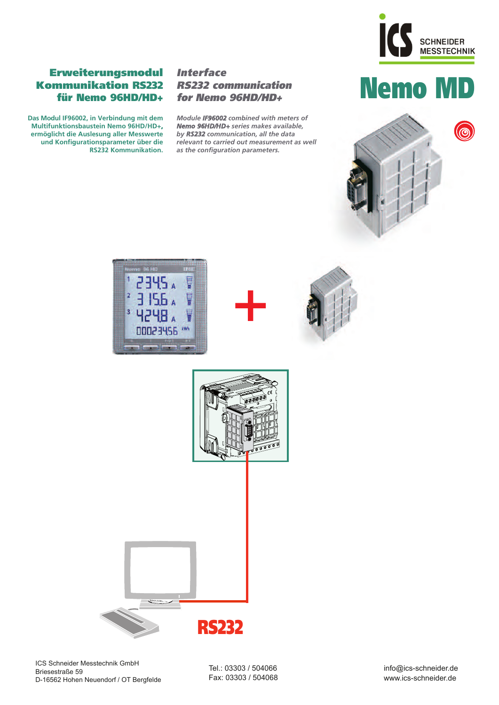

# Erweiterungsmodul *Interface*<br>
Dommunikation RS232 *RS232 communication*<br>
Für Nemo RSHD/HD+ for Nemo RSHD/HD+ **Kommunikation RS232 für Nemo 96HD/HD+**

**Das Modul IF96002, in Verbindung mit dem Multifunktionsbaustein Nemo 96HD/HD+, ermöglicht die Auslesung aller Messwerte und Konfigurationsparameter über die RS232 Kommunikation.**

## **Interface RS232 communication for Nemo 96HD/HD+**

*Module IF96002 combined with meters of Nemo 96HD/HD+ series makes available, by RS232 communication, all the data relevant to carried out measurement as well as the configuration parameters.*











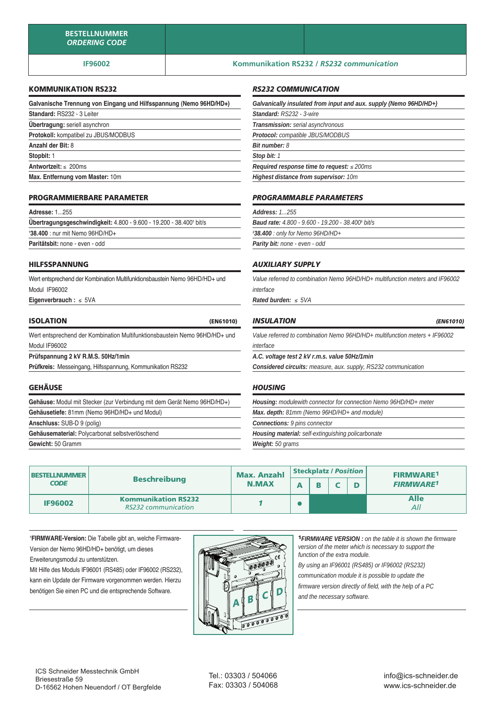## **IF96002 Kommunikation RS232 /** *RS232 communication*

## **KOMMUNIKATION RS232**

| Galvanische Trennung von Eingang und Hilfsspannung (Nemo 96HD/HD+) |
|--------------------------------------------------------------------|
| Standard: RS232 - 3 Leiter                                         |
| <b>Übertragung:</b> seriell asynchron                              |
| Protokoll: kompatibel zu JBUS/MODBUS                               |
| Anzahl der Bit: 8                                                  |
| Stopbit: 1                                                         |
| Antwortzeit: $\leq$ 200ms                                          |
| Max. Entfernung vom Master: 10m                                    |

### **PROGRAMMIERBARE PARAMETER**

| <b>Adresse: 1255</b>                                                      |  |
|---------------------------------------------------------------------------|--|
| <b>Übertragungsgeschwindigkeit:</b> 4.800 - 9.600 - 19.200 - 38.400 bit/s |  |
| 138.400 : nur mit Nemo 96HD/HD+                                           |  |
| Paritätsbit: none - even - odd                                            |  |

#### **HILFSSPANNUNG**

Wert entsprechend der Kombination Multifunktionsbaustein Nemo 96HD/HD+ und Modul IF96002

**Eigenverbrauch :** ≤ 5VA

| <b>ISOLATION</b> | (EN61010)                                                                    |
|------------------|------------------------------------------------------------------------------|
|                  | West entersedeed des Kambination Multifunktionabourtein Name OCLID/LID , und |

Wert entsprechend der Kombination Multifunktionsbaustein Nemo 96HD/HD+ und Modul IF96002

**Prüfspannung 2 kV R.M.S. 50Hz/1min**

**Prüfkreis:** Messeingang, Hilfsspannung, Kommunikation RS232

#### **GEHÄUSE**

**Gehäuse:** Modul mit Stecker (zur Verbindung mit dem Gerät Nemo 96HD/HD+) **Gehäusetiefe:** 81mm (Nemo 96HD/HD+ und Modul) **Anschluss:** SUB-D 9 (polig) **Gehäusematerial:** Polycarbonat selbstverlöschend

**Gewicht:** 50 Gramm

## *RS232 COMMUNICATION*

| Galvanically insulated from input and aux. supply (Nemo 96HD/HD+) |  |  |  |  |
|-------------------------------------------------------------------|--|--|--|--|
| Standard: RS232 - 3-wire                                          |  |  |  |  |
| Transmission: serial asynchronous                                 |  |  |  |  |
| Protocol: compatible JBUS/MODBUS                                  |  |  |  |  |
| <b>Bit number: 8</b>                                              |  |  |  |  |
| Stop bit: 1                                                       |  |  |  |  |
| Required response time to request: $\leq$ 200ms                   |  |  |  |  |
| <b>Highest distance from supervisor: 10m</b>                      |  |  |  |  |
|                                                                   |  |  |  |  |

#### *PROGRAMMABLE PARAMETERS*

| <b>Address: 1255</b>                                     |
|----------------------------------------------------------|
| <b>Baud rate: 4.800 - 9.600 - 19.200 - 38.400' bit/s</b> |
| 138.400 : only for Nemo 96HD/HD+                         |
| <b>Parity bit: none - even - odd</b>                     |

#### *AUXILIARY SUPPLY*

*Value referred to combination Nemo 96HD/HD+ multifunction meters and IF96002 interface*

*Rated burden:* <sup>≤</sup>*5VA*

| <b>INSULATION</b> | (EN61010) |
|-------------------|-----------|
|                   |           |

*Value referred to combination Nemo 96HD/HD+ multifunction meters + IF96002 interface*

*A.C. voltage test 2 kV r.m.s. value 50Hz/1min*

*Considered circuits: measure, aux. supply, RS232 communication*

#### *HOUSING*

*Housing: modulewith connector for connection Nemo 96HD/HD+ meter Max. depth: 81mm (Nemo 96HD/HD+ and module) Connections: 9 pins connector Housing material: self-extinguishing policarbonate*

*Weight: 50 grams*

| <b>BESTELLNUMMER</b> | <b>Max. Anzahl</b>                                       |              | <b>Steckplatz / Position</b> |  |  |  | <b>FIRMWARE1</b> |
|----------------------|----------------------------------------------------------|--------------|------------------------------|--|--|--|------------------|
| <b>CODE</b>          | <b>Beschreibung</b>                                      | <b>N.MAX</b> |                              |  |  |  | <b>FIRMWARE1</b> |
| <b>IF96002</b>       | <b>Kommunikation RS232</b><br><b>RS232</b> communication |              |                              |  |  |  | Alle<br>All      |

**1 FIRMWARE-Version:** Die Tabelle gibt an, welche Firmware-Version der Nemo 96HD/HD+ benötigt, um dieses Erweiterungsmodul zu unterstützen.

Mit Hilfe des Moduls IF96001 (RS485) oder IF96002 (RS232), kann ein Update der Firmware vorgenommen werden. Hierzu benötigen Sie einen PC und die entsprechende Software.



**1***FIRMWARE VERSION : on the table it is shown the firmware version of the meter which is necessary to support the function of the extra module.*

*By using an IF96001 (RS485) or IF96002 (RS232)* 

*communication module it is possible to update the* 

*firmware version directly of field, with the help of a PC and the necessary software.*